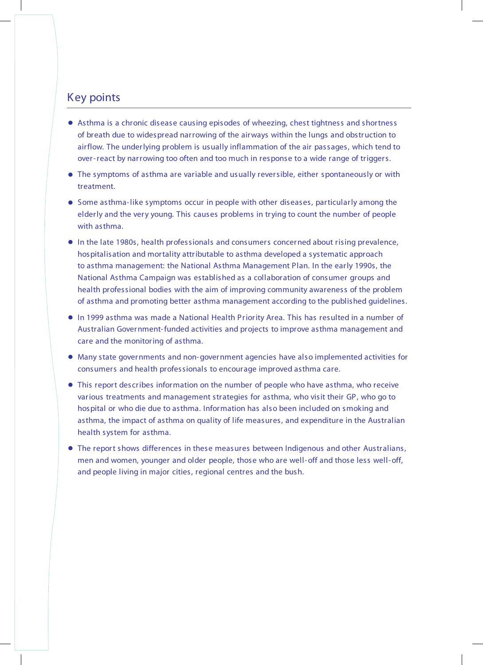# Key points

- . Asthma is <sup>a</sup> chronic disease causing episodes of wheezing, chest tightness and shortness of breath due to widespread narrowing of the airways within the lungs and obstruction to airflow. The underlying problem is usually inflammation of the air passages, which tend to over-react by narrowing too often and too much in response to a wide range of triggers.
- . The symptoms of asthma are variable and usually reversible, either spontaneously or with treatment.
- . Some asthma-like symptoms occur in people with other diseases, particularly among the elderly and the very young. This causes problems in trying to count the number of people with asthma.
- . In the late 1980s, health professionals and consumers concerned about rising prevalence, hospitalisation and mortality attributable to asthma developed a systematic approach to asthma management: the National Asthma Management Plan. In the early 1990s, the National Asthma Campaign was established as a collaboration of consumer groups and health professional bodies with the aim of improving community awareness of the problem of asthma and promoting better asthma management according to the published guidelines.
- . In <sup>1999</sup> asthma was made <sup>a</sup> National Health Priority Area. This has resulted in <sup>a</sup> number of Australian Government-funded activities and projects to improve asthma management and care and the monitoring of asthma.
- . Many state governments and non-government agencies have also implemented activities for consumers and health professionals to encourage improved asthma care.
- . This report describes information on the number of people who have asthma, who receive various treatments and management strategies for asthma, who visit their GP, who go to hospital or who die due to asthma. Information has also been included on smoking and asthma, the impact of asthma on quality of life measures, and expenditure in the Australian health system for asthma.
- . The report shows differences in these measures between Indigenous and other Australians, men and women, younger and older people, those who are well-off and those less well-off, and people living in major cities, regional centres and the bush.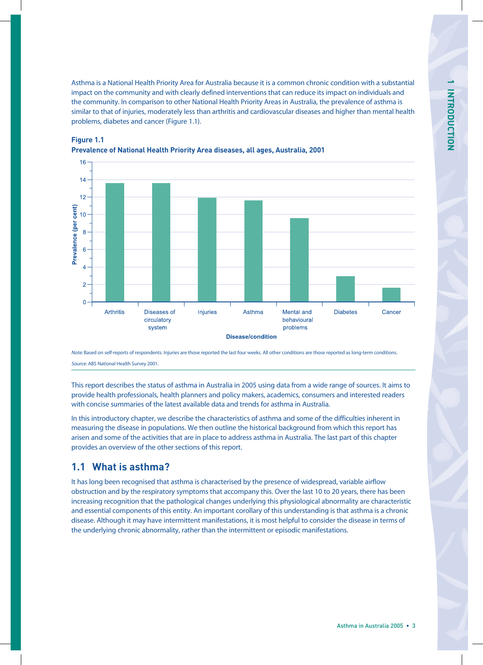Asthma is a National Health Priority Area for Australia because it is a common chronic condition with a substantial impact on the community and with clearly defined interventions that can reduce its impact on individuals and the community. In comparison to other National Health Priority Areas in Australia, the prevalence of asthma is similar to that of injuries, moderately less than arthritis and cardiovascular diseases and higher than mental health problems, diabetes and cancer (Figure 1.1).



## **Prevalence of National Health Priority Area diseases, all ages, Australia, 2001**

Note: Based on self-reports of respondents. Injuries are those reported the last four weeks. All other conditions are those reported as long-term conditions. Source: ABS National Health Survey 2001.

This report describes the status of asthma in Australia in 2005 using data from a wide range of sources. It aims to provide health professionals, health planners and policy makers, academics, consumers and interested readers with concise summaries of the latest available data and trends for asthma in Australia.

In this introductory chapter, we describe the characteristics of asthma and some of the difficulties inherent in measuring the disease in populations. We then outline the historical background from which this report has arisen and some of the activities that are in place to address asthma in Australia. The last part of this chapter provides an overview of the other sections of this report.

# **1.1 What is asthma?**

**Figure 1.1**

It has long been recognised that asthma is characterised by the presence of widespread, variable airflow obstruction and by the respiratory symptoms that accompany this. Over the last 10 to 20 years, there has been increasing recognition that the pathological changes underlying this physiological abnormality are characteristic and essential components of this entity. An important corollary of this understanding is that asthma is a chronic disease. Although it may have intermittent manifestations, it is most helpful to consider the disease in terms of the underlying chronic abnormality, rather than the intermittent or episodic manifestations.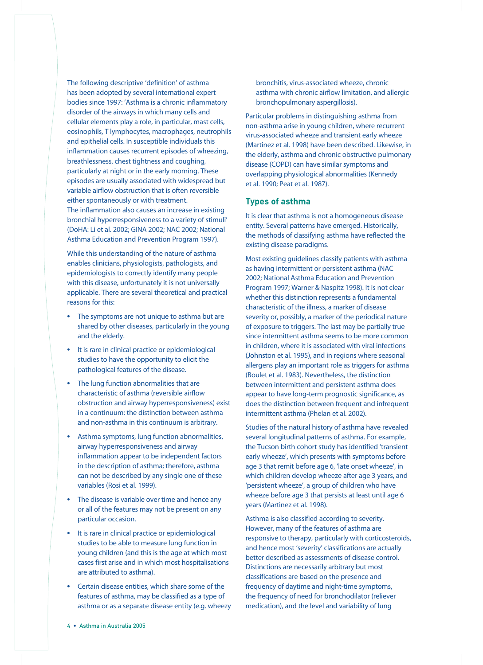The following descriptive 'definition' of asthma has been adopted by several international expert bodies since 1997: 'Asthma is a chronic inflammatory disorder of the airways in which many cells and cellular elements play a role, in particular, mast cells, eosinophils, T lymphocytes, macrophages, neutrophils and epithelial cells. In susceptible individuals this inflammation causes recurrent episodes of wheezing, breathlessness, chest tightness and coughing, particularly at night or in the early morning. These episodes are usually associated with widespread but variable airflow obstruction that is often reversible either spontaneously or with treatment. The inflammation also causes an increase in existing bronchial hyperresponsiveness to a variety of stimuli' (DoHA: Li et al. 2002; GINA 2002; NAC 2002; National Asthma Education and Prevention Program 1997).

While this understanding of the nature of asthma enables clinicians, physiologists, pathologists, and epidemiologists to correctly identify many people with this disease, unfortunately it is not universally applicable. There are several theoretical and practical reasons for this:

- **•** The symptoms are not unique to asthma but are shared by other diseases, particularly in the young and the elderly.
- **•** It is rare in clinical practice or epidemiological studies to have the opportunity to elicit the pathological features of the disease.
- **•** The lung function abnormalities that are characteristic of asthma (reversible airflow obstruction and airway hyperresponsiveness) exist in a continuum: the distinction between asthma and non-asthma in this continuum is arbitrary.
- **•** Asthma symptoms, lung function abnormalities, airway hyperresponsiveness and airway inflammation appear to be independent factors in the description of asthma; therefore, asthma can not be described by any single one of these variables (Rosi et al. 1999).
- **•** The disease is variable over time and hence any or all of the features may not be present on any particular occasion.
- **•** It is rare in clinical practice or epidemiological studies to be able to measure lung function in young children (and this is the age at which most cases first arise and in which most hospitalisations are attributed to asthma).
- **•** Certain disease entities, which share some of the features of asthma, may be classified as a type of asthma or as a separate disease entity (e.g. wheezy

bronchitis, virus-associated wheeze, chronic asthma with chronic airflow limitation, and allergic bronchopulmonary aspergillosis).

Particular problems in distinguishing asthma from non-asthma arise in young children, where recurrent virus-associated wheeze and transient early wheeze (Martinez et al. 1998) have been described. Likewise, in the elderly, asthma and chronic obstructive pulmonary disease (COPD) can have similar symptoms and overlapping physiological abnormalities (Kennedy et al. 1990; Peat et al. 1987).

#### **Types of asthma**

It is clear that asthma is not a homogeneous disease entity. Several patterns have emerged. Historically, the methods of classifying asthma have reflected the existing disease paradigms.

Most existing guidelines classify patients with asthma as having intermittent or persistent asthma (NAC 2002; National Asthma Education and Prevention Program 1997; Warner & Naspitz 1998). It is not clear whether this distinction represents a fundamental characteristic of the illness, a marker of disease severity or, possibly, a marker of the periodical nature of exposure to triggers. The last may be partially true since intermittent asthma seems to be more common in children, where it is associated with viral infections (Johnston et al. 1995), and in regions where seasonal allergens play an important role as triggers for asthma (Boulet et al. 1983). Nevertheless, the distinction between intermittent and persistent asthma does appear to have long-term prognostic significance, as does the distinction between frequent and infrequent intermittent asthma (Phelan et al. 2002).

Studies of the natural history of asthma have revealed several longitudinal patterns of asthma. For example, the Tucson birth cohort study has identified 'transient early wheeze', which presents with symptoms before age 3 that remit before age 6, 'late onset wheeze', in which children develop wheeze after age 3 years, and 'persistent wheeze', a group of children who have wheeze before age 3 that persists at least until age 6 years (Martinez et al. 1998).

Asthma is also classified according to severity. However, many of the features of asthma are responsive to therapy, particularly with corticosteroids, and hence most 'severity' classifications are actually better described as assessments of disease control. Distinctions are necessarily arbitrary but most classifications are based on the presence and frequency of daytime and night-time symptoms, the frequency of need for bronchodilator (reliever medication), and the level and variability of lung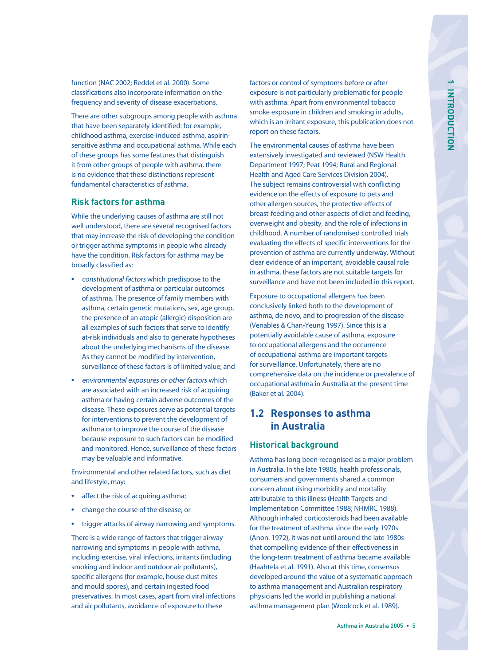function (NAC 2002; Reddel et al. 2000). Some classifications also incorporate information on the frequency and severity of disease exacerbations.

There are other subgroups among people with asthma that have been separately identified: for example, childhood asthma, exercise-induced asthma, aspirinsensitive asthma and occupational asthma. While each of these groups has some features that distinguish it from other groups of people with asthma, there is no evidence that these distinctions represent fundamental characteristics of asthma.

### **Risk factors for asthma**

While the underlying causes of asthma are still not well understood, there are several recognised factors that may increase the risk of developing the condition or trigger asthma symptoms in people who already have the condition. Risk factors for asthma may be broadly classified as:

- **•** constitutional factors which predispose to the development of asthma or particular outcomes of asthma. The presence of family members with asthma, certain genetic mutations, sex, age group, the presence of an atopic (allergic) disposition are all examples of such factors that serve to identify at-risk individuals and also to generate hypotheses about the underlying mechanisms of the disease. As they cannot be modified by intervention, surveillance of these factors is of limited value; and
- **•** environmental exposures or other factors which are associated with an increased risk of acquiring asthma or having certain adverse outcomes of the disease. These exposures serve as potential targets for interventions to prevent the development of asthma or to improve the course of the disease because exposure to such factors can be modified and monitored. Hence, surveillance of these factors may be valuable and informative.

Environmental and other related factors, such as diet and lifestyle, may:

- **•** affect the risk of acquiring asthma;
- **•** change the course of the disease; or
- **•** trigger attacks of airway narrowing and symptoms.

There is a wide range of factors that trigger airway narrowing and symptoms in people with asthma, including exercise, viral infections, irritants (including smoking and indoor and outdoor air pollutants), specific allergens (for example, house dust mites and mould spores), and certain ingested food preservatives. In most cases, apart from viral infections and air pollutants, avoidance of exposure to these

factors or control of symptoms before or after exposure is not particularly problematic for people with asthma. Apart from environmental tobacco smoke exposure in children and smoking in adults, which is an irritant exposure, this publication does not report on these factors.

The environmental causes of asthma have been extensively investigated and reviewed (NSW Health Department 1997; Peat 1994; Rural and Regional Health and Aged Care Services Division 2004). The subject remains controversial with conflicting evidence on the effects of exposure to pets and other allergen sources, the protective effects of breast-feeding and other aspects of diet and feeding, overweight and obesity, and the role of infections in childhood. A number of randomised controlled trials evaluating the effects of specific interventions for the prevention of asthma are currently underway. Without clear evidence of an important, avoidable causal role in asthma, these factors are not suitable targets for surveillance and have not been included in this report.

Exposure to occupational allergens has been conclusively linked both to the development of asthma, de novo, and to progression of the disease (Venables & Chan-Yeung 1997). Since this is a potentially avoidable cause of asthma, exposure to occupational allergens and the occurrence of occupational asthma are important targets for surveillance. Unfortunately, there are no comprehensive data on the incidence or prevalence of occupational asthma in Australia at the present time (Baker et al. 2004).

# **1.2 Responses to asthma in Australia**

## **Historical background**

Asthma has long been recognised as a major problem in Australia. In the late 1980s, health professionals, consumers and governments shared a common concern about rising morbidity and mortality attributable to this illness (Health Targets and Implementation Committee 1988; NHMRC 1988). Although inhaled corticosteroids had been available for the treatment of asthma since the early 1970s (Anon. 1972), it was not until around the late 1980s that compelling evidence of their effectiveness in the long-term treatment of asthma became available (Haahtela et al. 1991). Also at this time, consensus developed around the value of a systematic approach to asthma management and Australian respiratory physicians led the world in publishing a national asthma management plan (Woolcock et al. 1989).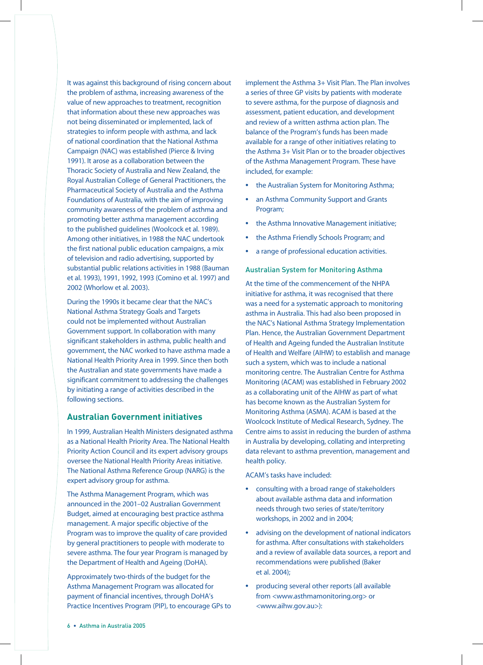It was against this background of rising concern about the problem of asthma, increasing awareness of the value of new approaches to treatment, recognition that information about these new approaches was not being disseminated or implemented, lack of strategies to inform people with asthma, and lack of national coordination that the National Asthma Campaign (NAC) was established (Pierce & Irving 1991). It arose as a collaboration between the Thoracic Society of Australia and New Zealand, the Royal Australian College of General Practitioners, the Pharmaceutical Society of Australia and the Asthma Foundations of Australia, with the aim of improving community awareness of the problem of asthma and promoting better asthma management according to the published guidelines (Woolcock et al. 1989). Among other initiatives, in 1988 the NAC undertook the first national public education campaigns, a mix of television and radio advertising, supported by substantial public relations activities in 1988 (Bauman et al. 1993), 1991, 1992, 1993 (Comino et al. 1997) and 2002 (Whorlow et al. 2003).

During the 1990s it became clear that the NAC's National Asthma Strategy Goals and Targets could not be implemented without Australian Government support. In collaboration with many significant stakeholders in asthma, public health and government, the NAC worked to have asthma made a National Health Priority Area in 1999. Since then both the Australian and state governments have made a significant commitment to addressing the challenges by initiating a range of activities described in the following sections.

### **Australian Government initiatives**

In 1999, Australian Health Ministers designated asthma as a National Health Priority Area. The National Health Priority Action Council and its expert advisory groups oversee the National Health Priority Areas initiative. The National Asthma Reference Group (NARG) is the expert advisory group for asthma.

The Asthma Management Program, which was announced in the 2001–02 Australian Government Budget, aimed at encouraging best practice asthma management. A major specific objective of the Program was to improve the quality of care provided by general practitioners to people with moderate to severe asthma. The four year Program is managed by the Department of Health and Ageing (DoHA).

Approximately two-thirds of the budget for the Asthma Management Program was allocated for payment of financial incentives, through DoHA's Practice Incentives Program (PIP), to encourage GPs to implement the Asthma 3+ Visit Plan. The Plan involves a series of three GP visits by patients with moderate to severe asthma, for the purpose of diagnosis and assessment, patient education, and development and review of a written asthma action plan. The balance of the Program's funds has been made available for a range of other initiatives relating to the Asthma 3+ Visit Plan or to the broader objectives of the Asthma Management Program. These have included, for example:

- **•** the Australian System for Monitoring Asthma;
- **•** an Asthma Community Support and Grants Program;
- **•** the Asthma Innovative Management initiative;
- **•** the Asthma Friendly Schools Program; and
- **•** a range of professional education activities.

#### Australian System for Monitoring Asthma

At the time of the commencement of the NHPA initiative for asthma, it was recognised that there was a need for a systematic approach to monitoring asthma in Australia. This had also been proposed in the NAC's National Asthma Strategy Implementation Plan. Hence, the Australian Government Department of Health and Ageing funded the Australian Institute of Health and Welfare (AIHW) to establish and manage such a system, which was to include a national monitoring centre. The Australian Centre for Asthma Monitoring (ACAM) was established in February 2002 as a collaborating unit of the AIHW as part of what has become known as the Australian System for Monitoring Asthma (ASMA). ACAM is based at the Woolcock Institute of Medical Research, Sydney. The Centre aims to assist in reducing the burden of asthma in Australia by developing, collating and interpreting data relevant to asthma prevention, management and health policy.

ACAM's tasks have included:

- **•** consulting with a broad range of stakeholders about available asthma data and information needs through two series of state/territory workshops, in 2002 and in 2004;
- **•** advising on the development of national indicators for asthma. After consultations with stakeholders and a review of available data sources, a report and recommendations were published (Baker et al. 2004);
- **•** producing several other reports (all available from <www.asthmamonitoring.org> or <www.aihw.gov.au>):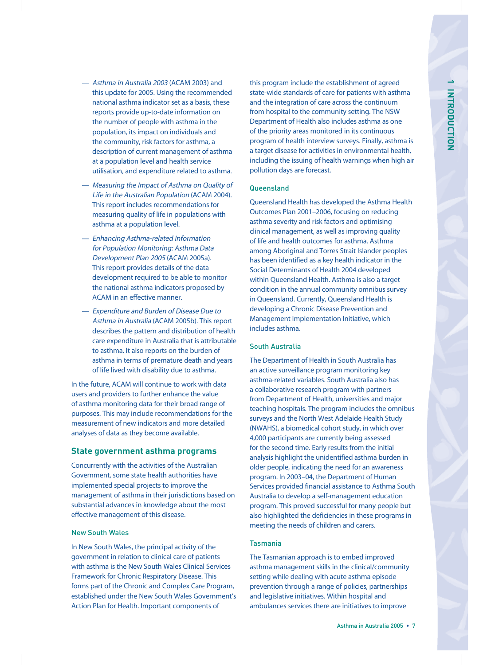- Asthma in Australia 2003 (ACAM 2003) and this update for 2005. Using the recommended national asthma indicator set as a basis, these reports provide up-to-date information on the number of people with asthma in the population, its impact on individuals and the community, risk factors for asthma, a description of current management of asthma at a population level and health service utilisation, and expenditure related to asthma.
- Measuring the Impact of Asthma on Quality of Life in the Australian Population (ACAM 2004). This report includes recommendations for measuring quality of life in populations with asthma at a population level.
- Enhancing Asthma-related Information for Population Monitoring: Asthma Data Development Plan 2005 (ACAM 2005a). This report provides details of the data development required to be able to monitor the national asthma indicators proposed by ACAM in an effective manner.
- Expenditure and Burden of Disease Due to Asthma in Australia (ACAM 2005b). This report describes the pattern and distribution of health care expenditure in Australia that is attributable to asthma. It also reports on the burden of asthma in terms of premature death and years of life lived with disability due to asthma.

In the future, ACAM will continue to work with data users and providers to further enhance the value of asthma monitoring data for their broad range of purposes. This may include recommendations for the measurement of new indicators and more detailed analyses of data as they become available.

### **State government asthma programs**

Concurrently with the activities of the Australian Government, some state health authorities have implemented special projects to improve the management of asthma in their jurisdictions based on substantial advances in knowledge about the most effective management of this disease.

### New South Wales

In New South Wales, the principal activity of the government in relation to clinical care of patients with asthma is the New South Wales Clinical Services Framework for Chronic Respiratory Disease. This forms part of the Chronic and Complex Care Program, established under the New South Wales Government's Action Plan for Health. Important components of

this program include the establishment of agreed state-wide standards of care for patients with asthma and the integration of care across the continuum from hospital to the community setting. The NSW Department of Health also includes asthma as one of the priority areas monitored in its continuous program of health interview surveys. Finally, asthma is a target disease for activities in environmental health, including the issuing of health warnings when high air pollution days are forecast.

### **Queensland**

Queensland Health has developed the Asthma Health Outcomes Plan 2001–2006, focusing on reducing asthma severity and risk factors and optimising clinical management, as well as improving quality of life and health outcomes for asthma. Asthma among Aboriginal and Torres Strait Islander peoples has been identified as a key health indicator in the Social Determinants of Health 2004 developed within Queensland Health. Asthma is also a target condition in the annual community omnibus survey in Queensland. Currently, Queensland Health is developing a Chronic Disease Prevention and Management Implementation Initiative, which includes asthma.

### South Australia

The Department of Health in South Australia has an active surveillance program monitoring key asthma-related variables. South Australia also has a collaborative research program with partners from Department of Health, universities and major teaching hospitals. The program includes the omnibus surveys and the North West Adelaide Health Study (NWAHS), a biomedical cohort study, in which over 4,000 participants are currently being assessed for the second time. Early results from the initial analysis highlight the unidentified asthma burden in older people, indicating the need for an awareness program. In 2003–04, the Department of Human Services provided financial assistance to Asthma South Australia to develop a self-management education program. This proved successful for many people but also highlighted the deficiencies in these programs in meeting the needs of children and carers.

### Tasmania

The Tasmanian approach is to embed improved asthma management skills in the clinical/community setting while dealing with acute asthma episode prevention through a range of policies, partnerships and legislative initiatives. Within hospital and ambulances services there are initiatives to improve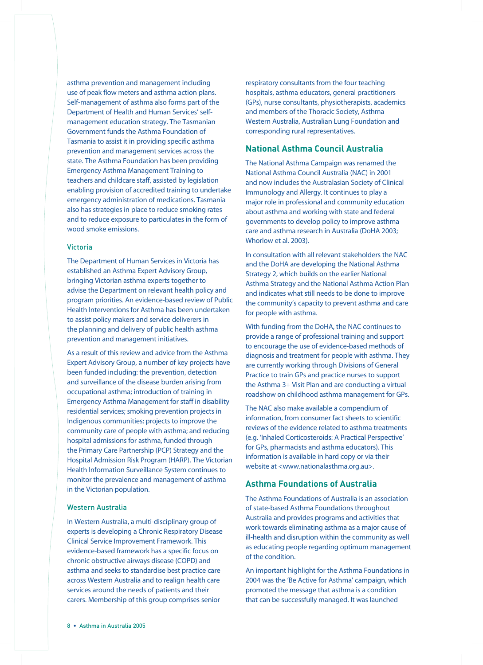asthma prevention and management including use of peak flow meters and asthma action plans. Self-management of asthma also forms part of the Department of Health and Human Services' selfmanagement education strategy. The Tasmanian Government funds the Asthma Foundation of Tasmania to assist it in providing specific asthma prevention and management services across the state. The Asthma Foundation has been providing Emergency Asthma Management Training to teachers and childcare staff, assisted by legislation enabling provision of accredited training to undertake emergency administration of medications. Tasmania also has strategies in place to reduce smoking rates and to reduce exposure to particulates in the form of wood smoke emissions.

#### Victoria

The Department of Human Services in Victoria has established an Asthma Expert Advisory Group, bringing Victorian asthma experts together to advise the Department on relevant health policy and program priorities. An evidence-based review of Public Health Interventions for Asthma has been undertaken to assist policy makers and service deliverers in the planning and delivery of public health asthma prevention and management initiatives.

As a result of this review and advice from the Asthma Expert Advisory Group, a number of key projects have been funded including: the prevention, detection and surveillance of the disease burden arising from occupational asthma; introduction of training in Emergency Asthma Management for staff in disability residential services; smoking prevention projects in Indigenous communities; projects to improve the community care of people with asthma; and reducing hospital admissions for asthma, funded through the Primary Care Partnership (PCP) Strategy and the Hospital Admission Risk Program (HARP). The Victorian Health Information Surveillance System continues to monitor the prevalence and management of asthma in the Victorian population.

#### Western Australia

In Western Australia, a multi-disciplinary group of experts is developing a Chronic Respiratory Disease Clinical Service Improvement Framework. This evidence-based framework has a specific focus on chronic obstructive airways disease (COPD) and asthma and seeks to standardise best practice care across Western Australia and to realign health care services around the needs of patients and their carers. Membership of this group comprises senior

respiratory consultants from the four teaching hospitals, asthma educators, general practitioners (GPs), nurse consultants, physiotherapists, academics and members of the Thoracic Society, Asthma Western Australia, Australian Lung Foundation and corresponding rural representatives.

#### **National Asthma Council Australia**

The National Asthma Campaign was renamed the National Asthma Council Australia (NAC) in 2001 and now includes the Australasian Society of Clinical Immunology and Allergy. It continues to play a major role in professional and community education about asthma and working with state and federal governments to develop policy to improve asthma care and asthma research in Australia (DoHA 2003; Whorlow et al. 2003).

In consultation with all relevant stakeholders the NAC and the DoHA are developing the National Asthma Strategy 2, which builds on the earlier National Asthma Strategy and the National Asthma Action Plan and indicates what still needs to be done to improve the community's capacity to prevent asthma and care for people with asthma.

With funding from the DoHA, the NAC continues to provide a range of professional training and support to encourage the use of evidence-based methods of diagnosis and treatment for people with asthma. They are currently working through Divisions of General Practice to train GPs and practice nurses to support the Asthma 3+ Visit Plan and are conducting a virtual roadshow on childhood asthma management for GPs.

The NAC also make available a compendium of information, from consumer fact sheets to scientific reviews of the evidence related to asthma treatments (e.g. 'Inhaled Corticosteroids: A Practical Perspective' for GPs, pharmacists and asthma educators). This information is available in hard copy or via their website at <www.nationalasthma.org.au>.

#### **Asthma Foundations of Australia**

The Asthma Foundations of Australia is an association of state-based Asthma Foundations throughout Australia and provides programs and activities that work towards eliminating asthma as a major cause of ill-health and disruption within the community as well as educating people regarding optimum management of the condition.

An important highlight for the Asthma Foundations in 2004 was the 'Be Active for Asthma' campaign, which promoted the message that asthma is a condition that can be successfully managed. It was launched